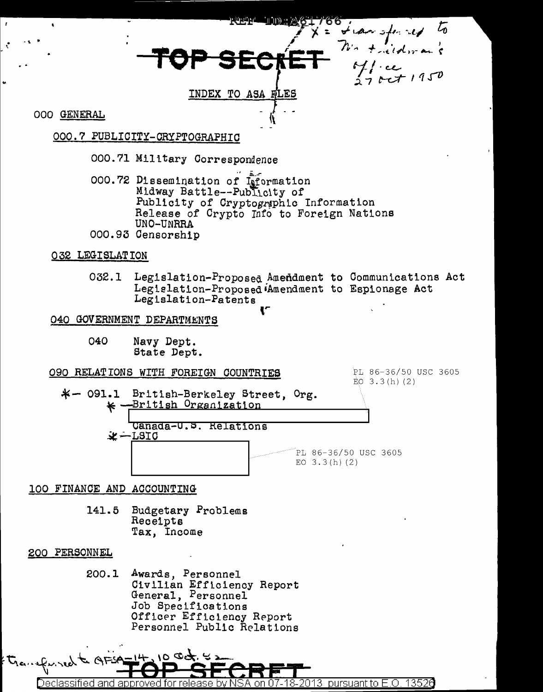INDEX TO ASA FLES

**OOO GENERAL** 

#### OOO.7 PUBLICITY-CRYPTOGRAPHIC

- 000.71 Military Correspondence
- 000.72 Dissemination of Information Midway Battle--Publicity of Publicity of Cryptographic Information Release of Crypto Info to Foreign Nations UNO-UNRRA 000.93 Censorship

#### 032 LEGISLATION

032.1 Legislation-Proposed Amendment to Communications Act Legislation-Proposed Amendment to Espionage Act Legislation-Patents

#### 040 GOVERNMENT DEPARTMENTS

040 Navy Dept. State Dept.

#### O90 RELATIONS WITH FOREIGN COUNTRIES

PL 86-36/50 USC 3605  $EO$  3.3(h)(2)

hansferred to

 $\mathcal{L}$ 





#### 100 FINANCE AND ACCOUNTING

Budgetary Problems 141.5 Receipts Tax, Income

#### 200 PERSONNEL

200.1 Awards, Personnel Civilian Efficiency Report General, Personnel Job Specifications Officer Efficiency Report Personnel Public Relations

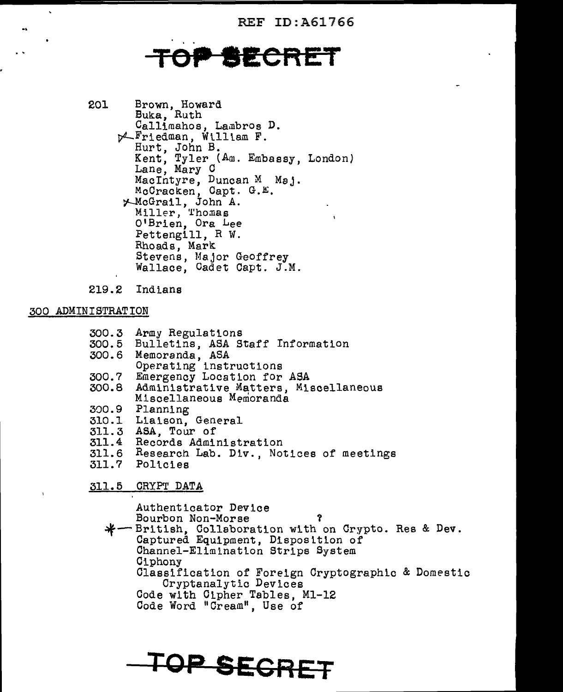REF ID:A61766

## **TECRET**

201 Brown, Howard Buka, Ruth Callimahos, Lambros D.  $\not\sim$  Friedman, William F. Hurt, John *B.*  Kent, Tyler (Am. Embassy, London) Lane, Mary C MacIntyre, Duncan M Maj.<br>McCracken, Capt. G.E. ~cGrail, John A. Miller, Thomas O'Brien, Ora Lee Pettengill, R W. Rhoads, Mark Stevens, Major Geoffrey Wallace, Cadet Capt. J.M.

219.2 Indians

#### 300 ADMINISTRATION

- 300.3 Army Regulations
- 300.5 Bulletins, ASA Staff Information
- 300. 6 Memoranda, ASA
- Operating instructions
- 300.7 Emergency Location for ASA
- 300.8 Administrative Matters, Miscellaneous Miscellaneous Memoranda
- 300.9 Planning
- 310.l Liaison, General
- 311.3 ASA, Tour of
- 311.4 Records Administration
- 311.6 Research Lab. Div., Notices of meetings
- 311.7 Poltcies
- 311.5 CRYPT DATA

Authenticator Device Bourbon Non-Morse ? ~-British, Collaboration with on Crypto. Res & Dev. Captured Equipment, Disposition of Channel-Elimination Strips System Ciphony Classification of Foreign Cryptographic & Domestic Cryptanalytic Devices Code with Cipher Tables, Ml-12 Code Word "Cream", Use of

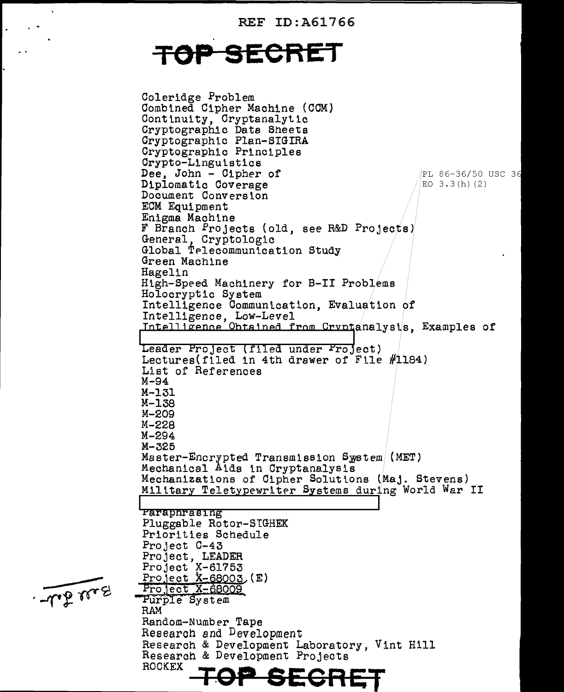REF ID:A61766

# **TGEORET**

Coleridge Problem Combined Cipher Machine (CCM} Continuity, Cryptanalytic Cryptographic Data Sheets Cryptographic Plan-SIGIRA Cryptographic Principles Crypto-Lingulstics **Dee, John - Cipher of**  $\neq$  **PL 86-36/50 USC 36**<br>**Diplomatic Coverage**  $\neq$   $\neq$   $\geq$   $\geq$   $\geq$  3.3(h)(2) Diplomatic Coverage Document Conversion ECM Equipment Enigma Machine F Branch Projects (old, see R&D Projects)<br>General, Cryptologic Global Telecommunication Study Green Machine Hagel in High-Speed Machinery for B-II Problems Holocryptic System Intelligence Communication, Evaluation of Intelligence, Low-Level Intelligence Obtained from Cryptanalysis, Examples of<br>Leader Project (filed under Project) Lectures( filed in 4th drawer of File #1184) List of References M-94 M-131 M-138 M-209 M-228 M-294 M-325 Master-Encrypted Transmission System (MET)<br>Mechanical Aids in Cryptanalysis Mechanizations of Cipher Solutions (Maj. Stevens) Military Teletypewriter Systems during World War II **Faraphrasing** Pluggable Rotor-STGHEK Priorities Schedule Project C-43 Project, LEADER Project X-61753 Project X-68003, (E)<br>Project X-68009<br>Purple System<br>RAM Random-Number Tape<br>Research and <sup>D</sup>evelopment Research & Development Laboratory, Vint Hill Research & Development Projects<br>ROCKEX ROCKEX **TOP SEGRET** 

- we me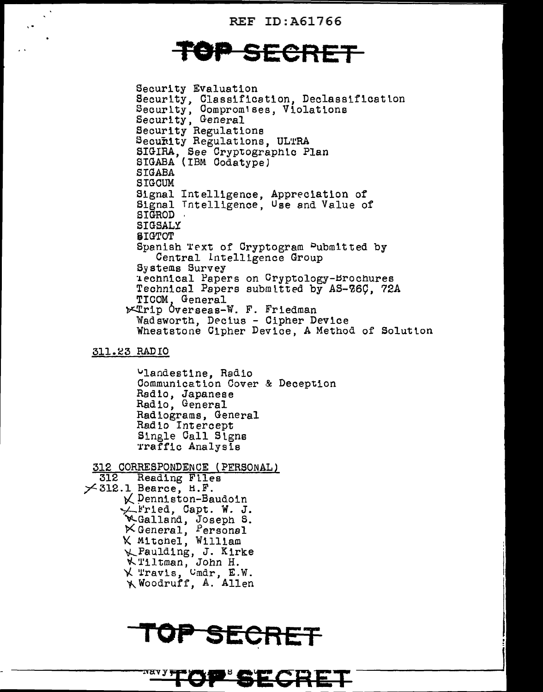**REF ID: A61766** 

### OP SECRET

Security Evaluation Security, Classification, Declassification<br>Security, Compromises, Violations<br>Security, General Security Regulations Security Regulations, ULTRA SIGIRA, See Cryptographic Plan<br>SIGABA (IBM Codatype) **SIGABA** SIGCUM Signal Intelligence, Appreciation of<br>Signal Intelligence, Use and Value of **SIGROD** SIGSALY **SIGTOT** Spanish Text of Cryptogram Pubmitted by Central Intelligence Group Systems Survey iechnical Papers on Cryptology-Brochures Technical Papers submitted by AS-26C, 72A TICOM, General **Extrip Overseas-W. F. Friedman** Wadsworth, Decius - Cipher Device Wheatstone Cipher Device, A Method of Solution

#### 311.23 RADIO

Vlandestine, Radio Communication Cover & Deception Radio, Japanese Radio, General Radiograms, General Radio Intercept Single Call Signs Traffic Analysis

312 CORRESPONDENCE (PERSONAL) 312 Reading Files  $\times$ 312.1 Bearce, H.F. K Denniston-Baudoin  $\swarrow$  Fried, Capt. W. J. WGalland, Joseph S.<br>
X General, Personal<br>
X Mitchel, William \*\* Paulding, J. Kirke<br>\*\* Tiltman, John H.<br>\* Travis, Cmdr, E.W.<br>\* Woodruff, A. Allen

NAV Y <del>JY</del>



P'SECRET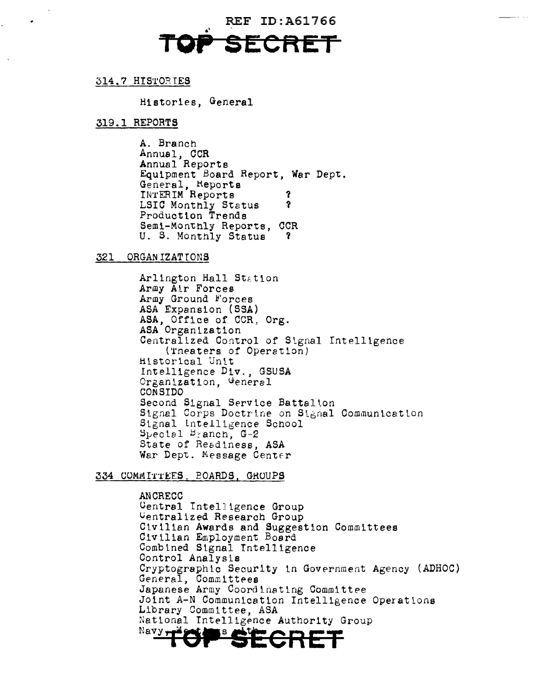**REF ID: A61766** 

#### 314.7 HISTORIES

Histories, General

#### 319.1 REPORTS

A. Branch Annual, CCR Annual Reports Equipment Board Report, War Dept. General, Reports<br>INTERIM Reports 7 LSIC Monthly Status ? Production Trends Semi-Monthly Reports, CCR U. S. Monthly Status 3.

#### 321 ORGANIZATIONS

Arlington Hall Station Army Air Forces Army Ground Forces ASA Expansion (SSA) ASA, Office of CCR, Org. ASA Organization Centralized Control of Signal Intelligence (Theaters of Operation) Historical Unit Intelligence Div., GSUSA Organization, General **CONSIDO** Second Signal Service Battalion Signal Corps Doctrine on Signal Communication Signal Intelligence School  $S_{\text{pecl}}$   $B_{\text{r}}$  anch,  $G-2$ State of Readiness, ASA War Dept. Message Center

#### 334 COMMITTEES, POARDS, GROUPS

**ANCRECC** Central Intelligence Group Uentralized Research Group Civilian Awards and Suggestion Committees Civilian Employment Board Combined Signal Intelligence Control Analysis Cryptographic Security in Government Agency (ADHOC) General, Committees Japanese Army Coordinating Committee Joint A-N Communication Intelligence Operations Library Committee, ASA National Intelligence Authority Group Navy ίS,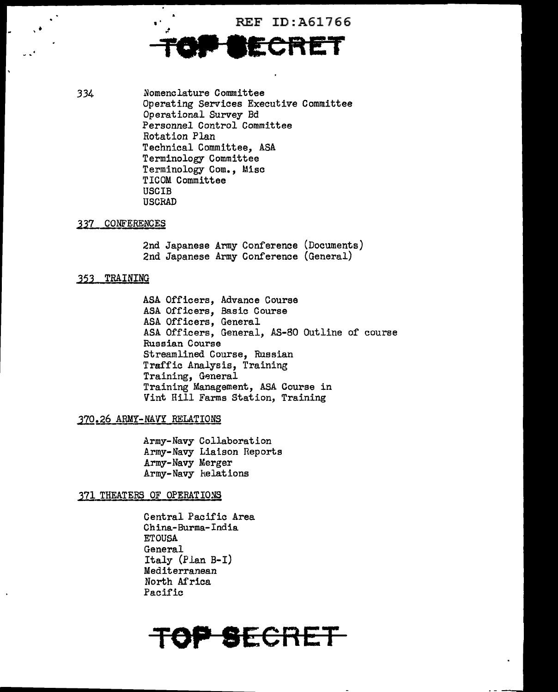REF ID: A61766



334 Nomenclature Committee Operating Services Executive Committee Operational Survey Bd Personnel Control Committee Rotation Plan Technical Committee, ASA Terminology Committee Terminology Com., Misc TICOM Committee USCIB USCRAD

#### 337 CONFERENCES

•

2nd Japanese Army Conference (Documents) 2nd Japanese Army Conference (General)

#### 352 TRAINING

ASA Officers, Advance Course ASA Officers, Basic Course ASA Officers, General ASA Officers, General, AS-80 Outline of course Russian Course Streamlined Course, Russian Traffic Analysis, Training Training, General Training Management, ASA Course in Vint Hill Farms Station, Training

#### 370.26 ARMY-NAVY RELATIONS

Army-Navy Collaboration Army-Navy Liaison Reports Army-Navy Merger Army-Navy helations

#### 371 THEATERS OF OPERATIONS

Central Pacific Area China-Burma-India ETOUSA General Italy (Plan B-I) Mediterranean North Africa Pacific